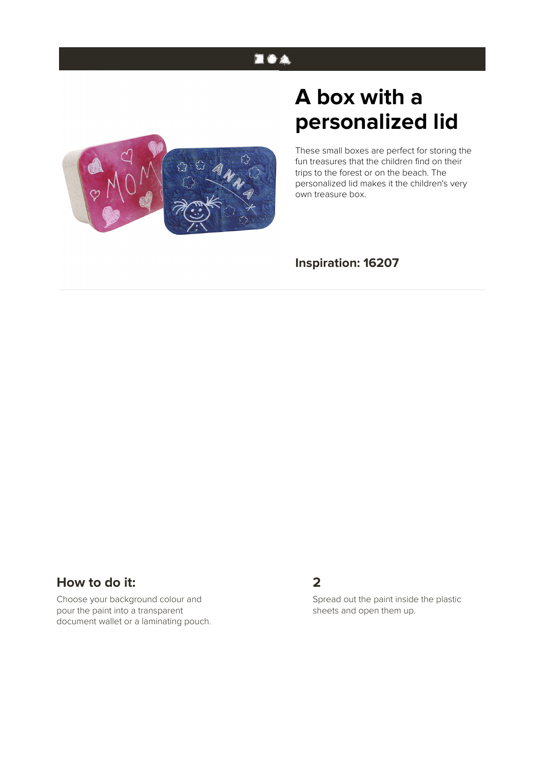## 医香条

# **A box with a personalized lid**

These small boxes are perfect for storing the fun treasures that the children find on their trips to the forest or on the beach. The personalized lid makes it the children's very own treasure box.

#### **Inspiration: 16207**

#### **How to do it:**

Choose your background colour and pour the paint into a transparent document wallet or a laminating pouch.

#### **2**

Spread out the paint inside the plastic sheets and open them up.

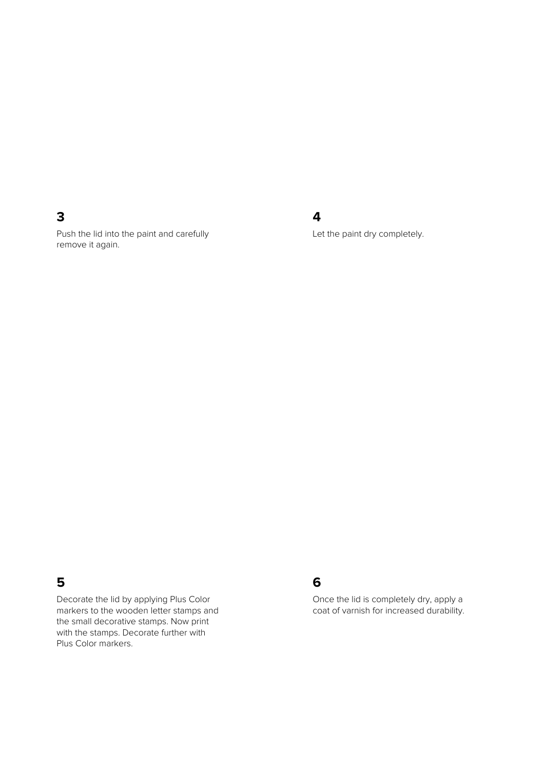#### **3**

Push the lid into the paint and carefully remove it again.

### **4**

Let the paint dry completely.

#### **5**

Decorate the lid by applying Plus Color markers to the wooden letter stamps and the small decorative stamps. Now print with the stamps. Decorate further with Plus Color markers.

#### **6**

Once the lid is completely dry, apply a coat of varnish for increased durability.